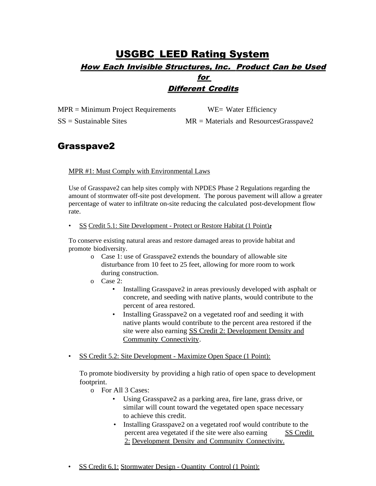## USGBC LEED Rating System How Each Invisible Structures, Inc. Product Can be Used for Different Credits

MPR = Minimum Project Requirements WE= Water Efficiency

SS = Sustainable Sites MR = Materials and ResourcesGrasspave2

## Grasspave2

### MPR #1: Must Comply with Environmental Laws

Use of Grasspave2 can help sites comply with NPDES Phase 2 Regulations regarding the amount of stormwater off-site post development. The porous pavement will allow a greater percentage of water to infiltrate on-site reducing the calculated post-development flow rate.

### • SS Credit 5.1: Site Development - Protect or Restore Habitat (1 Point):

To conserve existing natural areas and restore damaged areas to provide habitat and promote biodiversity.

- o Case 1: use of Grasspave2 extends the boundary of allowable site disturbance from 10 feet to 25 feet, allowing for more room to work during construction.
- o Case 2:
	- Installing Grasspave2 in areas previously developed with asphalt or concrete, and seeding with native plants, would contribute to the percent of area restored.
	- Installing Grasspave2 on a vegetated roof and seeding it with native plants would contribute to the percent area restored if the site were also earning SS Credit 2: Development Density and Community Connectivity.
- SS Credit 5.2: Site Development Maximize Open Space (1 Point):

To promote biodiversity by providing a high ratio of open space to development footprint.

- o For All 3 Cases:
	- Using Grasspave2 as a parking area, fire lane, grass drive, or similar will count toward the vegetated open space necessary to achieve this credit.
	- Installing Grasspave2 on a vegetated roof would contribute to the percent area vegetated if the site were also earning SS Credit 2: Development Density and Community Connectivity.
- SS Credit 6.1: Stormwater Design Quantity Control (1 Point):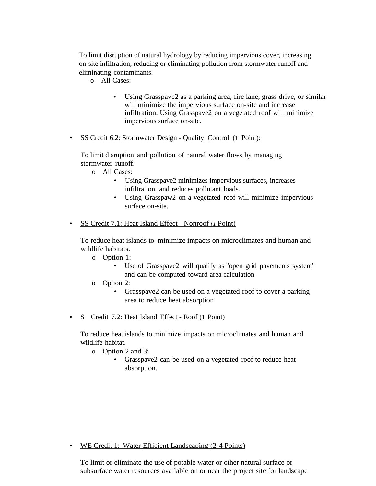To limit disruption of natural hydrology by reducing impervious cover, increasing on-site infiltration, reducing or eliminating pollution from stormwater runoff and eliminating contaminants.

- o All Cases:
	- Using Grasspave2 as a parking area, fire lane, grass drive, or similar will minimize the impervious surface on-site and increase infiltration. Using Grasspave2 on a vegetated roof will minimize impervious surface on-site.
- SS Credit 6.2: Stormwater Design Quality Control (1 Point):

To limit disruption and pollution of natural water flows by managing stormwater runoff.

- o All Cases:
	- Using Grasspave2 minimizes impervious surfaces, increases infiltration, and reduces pollutant loads.
	- Using Grasspaw2 on a vegetated roof will minimize impervious surface on-site.
- SS Credit 7.1: Heat Island Effect Nonroof *(1* Point)

To reduce heat islands to minimize impacts on microclimates and human and wildlife habitats.

- o Option 1:
	- Use of Grasspave2 will qualify as "open grid pavements system" and can be computed toward area calculation
- o Option 2:
	- Grasspave2 can be used on a vegetated roof to cover a parking area to reduce heat absorption.
- S Credit 7.2: Heat Island Effect Roof (1 Point)

To reduce heat islands to minimize impacts on microclimates and human and wildlife habitat.

- o Option 2 and 3:
	- Grasspave2 can be used on a vegetated roof to reduce heat absorption.

• WE Credit 1: Water Efficient Landscaping (2-4 Points)

To limit or eliminate the use of potable water or other natural surface or subsurface water resources available on or near the project site for landscape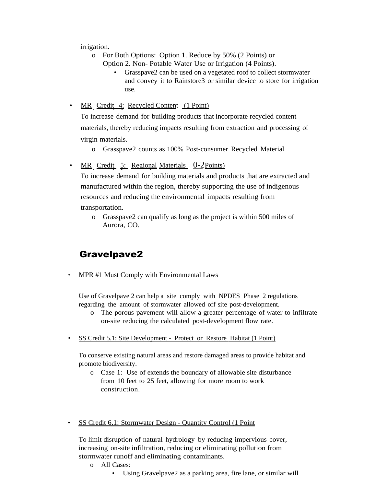irrigation.

- o For Both Options: Option 1. Reduce by 50% (2 Points) or Option 2. Non- Potable Water Use or Irrigation (4 Points).
	- Grasspave2 can be used on a vegetated roof to collect stormwater and convey it to Rainstore3 or similar device to store for irrigation use.
- MR Credit 4: Recycled Content (1 Point)

To increase demand for building products that incorporate recycled content materials, thereby reducing impacts resulting from extraction and processing of virgin materials.

- o Grasspave2 counts as 100% Post-consumer Recycled Material
- MR Credit 5: Regional Materials 0-2Points)

To increase demand for building materials and products that are extracted and manufactured within the region, thereby supporting the use of indigenous resources and reducing the environmental impacts resulting from transportation.

o Grasspave2 can qualify as long as the project is within 500 miles of Aurora, CO.

## Gravelpave2

• MPR #1 Must Comply with Environmental Laws

Use of Gravelpave 2 can help a site comply with NPDES Phase 2 regulations regarding the amount of stormwater allowed off site post-development.

- o The porous pavement will allow a greater percentage of water to infiltrate on-site reducing the calculated post-development flow rate.
- SS Credit 5.1: Site Development Protect or Restore Habitat (1 Point)

To conserve existing natural areas and restore damaged areas to provide habitat and promote biodiversity.

- o Case 1: Use of extends the boundary of allowable site disturbance from 10 feet to 25 feet, allowing for more room to work construction.
- SS Credit 6.1: Stormwater Design Quantity Control (1 Point

To limit disruption of natural hydrology by reducing impervious cover, increasing on-site infiltration, reducing or eliminating pollution from stormwater runoff and eliminating contaminants.

- o All Cases:
	- Using Gravelpave2 as a parking area, fire lane, or similar will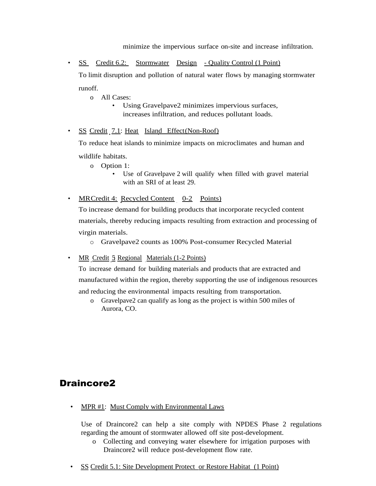minimize the impervious surface on-site and increase infiltration.

• SS Credit 6.2: Stormwater Design - Quality Control (1 Point)

To limit disruption and pollution of natural water flows by managing stormwater runoff.

o All Cases:

• Using Gravelpave2 minimizes impervious surfaces, increases infiltration, and reduces pollutant loads.

• SS Credit 7.1: Heat Island Effect(Non-Roof)

To reduce heat islands to minimize impacts on microclimates and human and wildlife habitats.

o Option 1:

Use of Gravelpave 2 will qualify when filled with gravel material with an SRI of at least 29.

• MRCredit 4: Recycled Content 0-2 Points)

To increase demand for building products that incorporate recycled content materials, thereby reducing impacts resulting from extraction and processing of virgin materials.

o Gravelpave2 counts as 100% Post-consumer Recycled Material

• MR Credit 5 Regional Materials (1-2 Points)

To increase demand for building materials and products that are extracted and manufactured within the region, thereby supporting the use of indigenous resources and reducing the environmental impacts resulting from transportation.

o Gravelpave2 can qualify as long as the project is within 500 miles of Aurora, CO.

## Draincore2

MPR #1: Must Comply with Environmental Laws

Use of Draincore2 can help a site comply with NPDES Phase 2 regulations regarding the amount of stormwater allowed off site post-development.

- o Collecting and conveying water elsewhere for irrigation purposes with Draincore2 will reduce post-development flow rate.
- SS Credit 5.1: Site Development Protect or Restore Habitat (1 Point)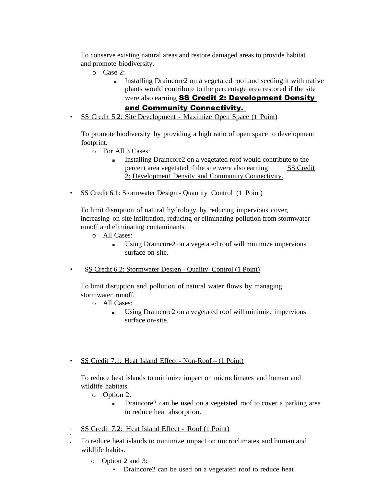To conserve existing natural areas and restore damaged areas to provide habitat and promote biodiversity.

- o Case 2:
	- Installing Draincore2 on a vegetated roof and seeding it with native plants would contribute to the percentage area restored if the site were also earning **SS Credit 2: Development Density**

### and Community Connectivity.

• SS Credit 5.2: Site Development - Maximize Open Space (1 Point)

To promote biodiversity by providing a high ratio of open space to development footprint.

- o For All 3 Cases:
	- Installing Draincore2 on a vegetated roof would contribute to the percent area vegetated if the site were also earning SS Credit 2: Development Density and Community Connectivity.
- SS Credit 6.1: Stormwater Design Quantity Control (1 Point)

To limit disruption of natural hydrology by reducing impervious cover, increasing on-site infiltration, reducing or eliminating pollution from stormwater runoff and eliminating contaminants.

- o All Cases:
	- Using Draincore2 on a vegetated roof will minimize impervious surface on-site.
- SS Credit 6.2: Stormwater Design Quality Control (1 Point)

To limit disruption and pollution of natural water flows by managing stormwater runoff.

- o All Cases:
	- Using Draincore2 on a vegetated roof will minimize impervious surface on-site.
- SS Credit 7.1: Heat Island Effect Non-Roof (1 Point)

To reduce heat islands to minimize impact on microclimates and human and wildlife habitats.

o Option 2:

•

- Draincore2 can be used on a vegetated roof to cover a parking area to reduce heat absorption.
- SS Credit 7.2: Heat Island Effect Roof (1 Point)
- To reduce heat islands to minimize impact on microclimates and human and wildlife habits.
	- o Option 2 and 3:
		- Draincore2 can be used on a vegetated roof to reduce heat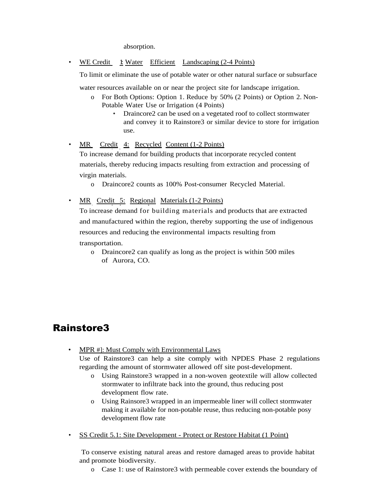absorption.

• WE Credit 1: Water Efficient Landscaping (2-4 Points)

To limit or eliminate the use of potable water or other natural surface or subsurface

water resources available on or near the project site for landscape irrigation.

- o For Both Options: Option 1. Reduce by 50% (2 Points) or Option 2. Non-Potable Water Use or Irrigation (4 Points)
	- Draincore2 can be used on a vegetated roof to collect stormwater and convey it to Rainstore3 or similar device to store for irrigation use.

• MR Credit 4: Recycled Content (1-2 Points) To increase demand for building products that incorporate recycled content materials, thereby reducing impacts resulting from extraction and processing of virgin materials.

o Draincore2 counts as 100% Post-consumer Recycled Material.

MR Credit 5: Regional Materials (1-2 Points)

To increase demand for building materials and products that are extracted and manufactured within the region, thereby supporting the use of indigenous resources and reducing the environmental impacts resulting from

transportation.

o Draincore2 can qualify as long as the project is within 500 miles of Aurora, CO.

## Rainstore3

MPR #]: Must Comply with Environmental Laws

Use of Rainstore3 can help a site comply with NPDES Phase 2 regulations regarding the amount of stormwater allowed off site post-development.

- o Using Rainstore3 wrapped in a non-woven geotextile will allow collected stormwater to infiltrate back into the ground, thus reducing post development flow rate.
- o Using Rainsore3 wrapped in an impermeable liner will collect stormwater making it available for non-potable reuse, thus reducing non-potable posy development flow rate
- SS Credit 5.1: Site Development Protect or Restore Habitat (1 Point)

To conserve existing natural areas and restore damaged areas to provide habitat and promote biodiversity.

o Case 1: use of Rainstore3 with permeable cover extends the boundary of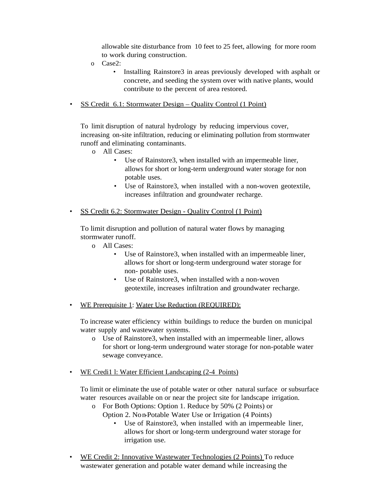allowable site disturbance from 10 feet to 25 feet, allowing for more room to work during construction.

- o Case2:
	- Installing Rainstore3 in areas previously developed with asphalt or concrete, and seeding the system over with native plants, would contribute to the percent of area restored.
- SS Credit 6.1: Stormwater Design Quality Control (1 Point)

To limit disruption of natural hydrology by reducing impervious cover, increasing on-site infiltration, reducing or eliminating pollution from stormwater runoff and eliminating contaminants.

- o All Cases:
	- Use of Rainstore3, when installed with an impermeable liner, allows for short or long-term underground water storage for non potable uses.
	- Use of Rainstore3, when installed with a non-woven geotextile, increases infiltration and groundwater recharge.
- SS Credit 6.2: Stormwater Design Quality Control (1 Point)

To limit disruption and pollution of natural water flows by managing stormwater runoff.

- o All Cases:
	- Use of Rainstore3, when installed with an impermeable liner, allows for short or long-term underground water storage for non- potable uses.
	- Use of Rainstore3, when installed with a non-woven geotextile, increases infiltration and groundwater recharge.
- WE Prerequisite 1: Water Use Reduction (REQUIRED):

To increase water efficiency within buildings to reduce the burden on municipal water supply and wastewater systems.

- o Use of Rainstore3, when installed with an impermeable liner, allows for short or long-term underground water storage for non-potable water sewage conveyance.
- WE Credi1 l: Water Efficient Landscaping (2-4Points)

To limit or eliminate the use of potable water or other natural surface or subsurface water resources available on or near the project site for landscape irrigation.

- o For Both Options: Option 1. Reduce by 50% (2 Points) or Option 2. No n-Potable Water Use or Irrigation (4 Points)
	- Use of Rainstore3, when installed with an impermeable liner, allows for short or long-term underground water storage for irrigation use.
- WE Credit 2: Innovative Wastewater Technologies (2 Points) To reduce wastewater generation and potable water demand while increasing the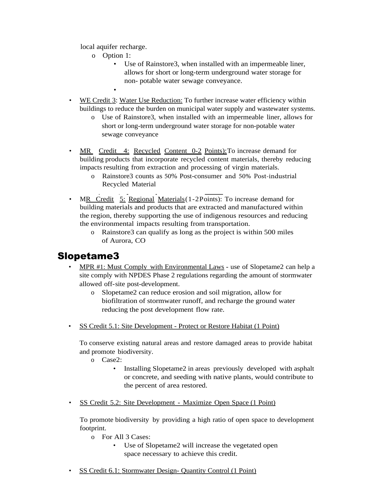local aquifer recharge.

•

- o Option 1:
	- Use of Rainstore3, when installed with an impermeable liner, allows for short or long-term underground water storage for non- potable water sewage conveyance.
		-
- WE Credit 3: Water Use Reduction: To further increase water efficiency within buildings to reduce the burden on municipal water supply and wastewater systems.
	- o Use of Rainstore3, when installed with an impermeable liner, allows for short or long-term underground water storage for non-potable water sewage conveyance
- MR Credit 4: Recycled Content 0-2 Points): To increase demand for building products that incorporate recycled content materials, thereby reducing impacts resulting from extraction and processing of virgin materials.
	- o Rainstore3 counts as 50% Post-consumer and 50% Post-industrial Recycled Material
- MR Credit 5: Regional Materials (1-2Points): To increase demand for building materials and products that are extracted and manufactured within the region, thereby supporting the use of indigenous resources and reducing the environmental impacts resulting from transportation.
	- o Rainstore3 can qualify as long as the project is within 500 miles of Aurora, CO

# Slopetame3

- MPR #1: Must Comply with Environmental Laws use of Slopetame2 can help a site comply with NPDES Phase 2 regulations regarding the amount of stormwater allowed off-site post-development.
	- o Slopetame2 can reduce erosion and soil migration, allow for biofiltration of stormwater runoff, and recharge the ground water reducing the post development flow rate.
- SS Credit 5.1: Site Development Protect or Restore Habitat (1 Point)

To conserve existing natural areas and restore damaged areas to provide habitat and promote biodiversity.

- o Case2:
	- Installing Slopetame2 in areas previously developed with asphalt or concrete, and seeding with native plants, would contribute to the percent of area restored.
- SS Credit 5.2: Site Development Maximize Open Space (1 Point)

To promote biodiversity by providing a high ratio of open space to development footprint.

- o For All 3 Cases:
	- Use of Slopetame2 will increase the vegetated open space necessary to achieve this credit.
- SS Credit 6.1: Stormwater Design- Quantity Control (1 Point)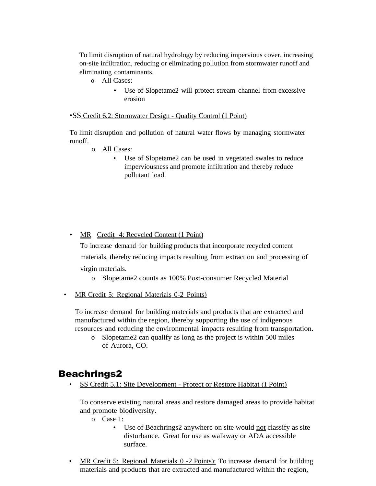To limit disruption of natural hydrology by reducing impervious cover, increasing on-site infiltration, reducing or eliminating pollution from stormwater runoff and eliminating contaminants.

- o All Cases:
	- Use of Slopetame2 will protect stream channel from excessive erosion

### •SS Credit 6.2: Stormwater Design - Quality Control (1 Point)

To limit disruption and pollution of natural water flows by managing stormwater runoff.

- o All Cases:
	- Use of Slopetame2 can be used in vegetated swales to reduce imperviousness and promote infiltration and thereby reduce pollutant load.

### • MR Credit 4: Recycled Content (1 Point)

To increase demand for building products that incorporate recycled content materials, thereby reducing impacts resulting from extraction and processing of virgin materials.

- o Slopetame2 counts as 100% Post-consumer Recycled Material
- MR Credit 5: Regional Materials 0-2 Points)

To increase demand for building materials and products that are extracted and manufactured within the region, thereby supporting the use of indigenous resources and reducing the environmental impacts resulting from transportation.

o Slopetame2 can qualify as long as the project is within 500 miles of Aurora, CO.

### Beachrings2

• SS Credit 5.1: Site Development - Protect or Restore Habitat (1 Point)

To conserve existing natural areas and restore damaged areas to provide habitat and promote biodiversity.

- o Case 1:
	- Use of Beachrings2 anywhere on site would not classify as site disturbance. Great for use as walkway or ADA accessible surface.
- MR Credit 5: Regional Materials 0 -2 Points): To increase demand for building materials and products that are extracted and manufactured within the region,